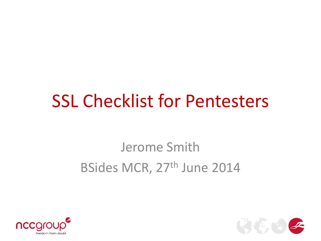#### SSL Checklist for Pentesters

#### Jerome Smith BSides MCR, 27<sup>th</sup> June 2014



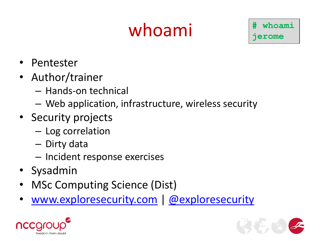# whoami

**# whoami jerome**

- Pentester
- Author/trainer
	- Hands-on technical
	- Web application, infrastructure, wireless security
- Security projects
	- Log correlation
	- Dirty data
	- Incident response exercises
- Sysadmin
- MSc Computing Science (Dist)
- [www.exploresecurity.com](http://www.exploresecurity.com/) | [@exploresecurity](https://twitter.com/exploresecurity)



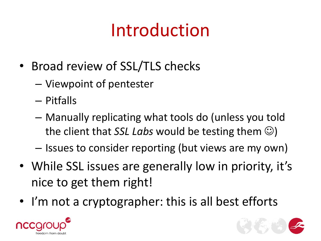# Introduction

- Broad review of SSL/TLS checks
	- Viewpoint of pentester
	- Pitfalls
	- Manually replicating what tools do (unless you told the client that *SSL Labs* would be testing them  $\odot$ )
	- Issues to consider reporting (but views are my own)
- While SSL issues are generally low in priority, it's nice to get them right!
- I'm not a cryptographer: this is all best efforts



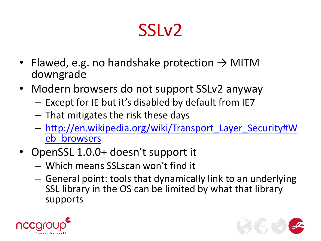- Flawed, e.g. no handshake protection  $\rightarrow$  MITM downgrade
- Modern browsers do not support SSLv2 anyway
	- Except for IE but it's disabled by default from IE7
	- That mitigates the risk these days
	- [http://en.wikipedia.org/wiki/Transport\\_Layer\\_Security#W](http://en.wikipedia.org/wiki/Transport_Layer_Security#Web_browsers) [eb\\_browsers](http://en.wikipedia.org/wiki/Transport_Layer_Security#Web_browsers)
- OpenSSL 1.0.0+ doesn't support it
	- Which means SSLscan won't find it
	- General point: tools that dynamically link to an underlying SSL library in the OS can be limited by what that library supports



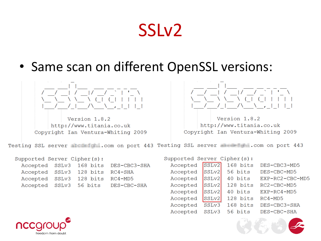• Same scan on different OpenSSL versions:



Version 1.8.2 http://www.titania.co.uk Copyright Ian Ventura-Whiting 2009



Version 1.8.2 http://www.titania.co.uk Copyright Ian Ventura-Whiting 2009

Testing SSL server **and studies**.com on port 443 Testing SSL server **and the com** on port 443

Supported Server Cipher(s):

|  |                                 | Accepted SSLv3 168 bits DES-CBC3-SHA |
|--|---------------------------------|--------------------------------------|
|  | Accepted SSLv3 128 bits RC4-SHA |                                      |
|  | Accepted SSLv3 128 bits RC4-MD5 |                                      |
|  |                                 | Accepted SSLv3 56 bits DES-CBC-SHA   |

| Supported Server Cipher(s): |                   |                    |                     |  |
|-----------------------------|-------------------|--------------------|---------------------|--|
| Accepted                    | SSLv2             | 168 bits           | DES-CBC3-MD5        |  |
| Accepted                    | SSLv2             | 56 bits            | DES-CBC-MD5         |  |
| Accepted                    | SSLv2             | 40 bits            | EXP-RC2-CBC-MD5     |  |
| Accepted                    | SSLv2             | $128 \text{ bits}$ | $RC2$ – $CBC$ – MD5 |  |
| Accepted                    | SSL <sub>v2</sub> | 40 bits            | $EXP-RC4-MD5$       |  |
| Accepted                    | SSLv2             | 128 bits           | $RC4 - MD5$         |  |
| Accepted                    | SSLv3             | $168$ bits         | DES-CBC3-SHA        |  |
| Accepted                    | SSLv3             | $56 \text{ bits}$  | DES-CBC-SHA         |  |



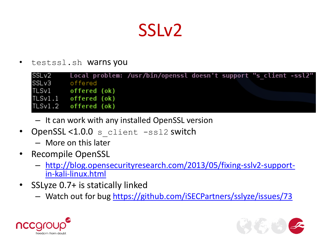testssl.sh warns you

| SSLv2 |                      | Local problem: /usr/bin/openssl doesn't support "s client -ssl2" |  |  |
|-------|----------------------|------------------------------------------------------------------|--|--|
| SSLv3 | offered              |                                                                  |  |  |
|       | TLSv1 offered (ok)   |                                                                  |  |  |
|       | TLSv1.1 offered (ok) |                                                                  |  |  |
|       | TLSv1.2 offered (ok) |                                                                  |  |  |

- It can work with any installed OpenSSL version
- OpenSSL<1.0.0 s client -ssl2 switch
	- More on this later
- Recompile OpenSSL
	- [http://blog.opensecurityresearch.com/2013/05/fixing-sslv2-support](http://blog.opensecurityresearch.com/2013/05/fixing-sslv2-support-in-kali-linux.html)[in-kali-linux.html](http://blog.opensecurityresearch.com/2013/05/fixing-sslv2-support-in-kali-linux.html)
- SSLyze 0.7+ is statically linked
	- Watch out for bug<https://github.com/iSECPartners/sslyze/issues/73>



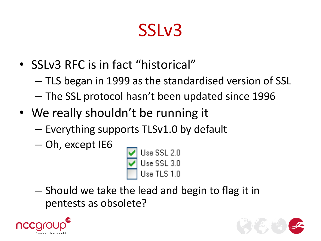- SSLv3 RFC is in fact "historical"
	- TLS began in 1999 as the standardised version of SSL – The SSL protocol hasn't been updated since 1996
- We really shouldn't be running it
	- Everything supports TLSv1.0 by default
	- Oh, except IE6



– Should we take the lead and begin to flag it in pentests as obsolete?



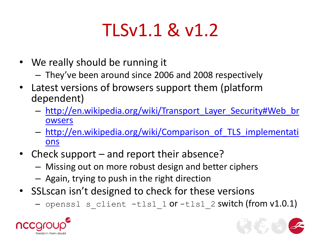## TLSv1.1 & v1.2

- We really should be running it
	- They've been around since 2006 and 2008 respectively
- Latest versions of browsers support them (platform dependent)
	- [http://en.wikipedia.org/wiki/Transport\\_Layer\\_Security#Web\\_br](http://en.wikipedia.org/wiki/Transport_Layer_Security#Web_browsers) [owsers](http://en.wikipedia.org/wiki/Transport_Layer_Security#Web_browsers)
	- [http://en.wikipedia.org/wiki/Comparison\\_of\\_TLS\\_implementati](http://en.wikipedia.org/wiki/Comparison_of_TLS_implementations) [ons](http://en.wikipedia.org/wiki/Comparison_of_TLS_implementations)
- Check support and report their absence?
	- Missing out on more robust design and better ciphers
	- Again, trying to push in the right direction
- SSLscan isn't designed to check for these versions
	- $-$  openssl s client  $-tls1$  1 or  $-tls1$  2 switch (from v1.0.1)



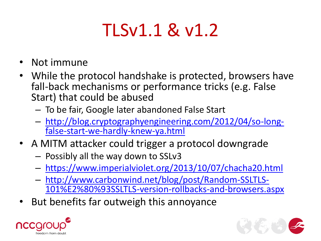### TLSv1.1 & v1.2

- Not immune
- While the protocol handshake is protected, browsers have fall-back mechanisms or performance tricks (e.g. False Start) that could be abused
	- To be fair, Google later abandoned False Start
	- [http://blog.cryptographyengineering.com/2012/04/so-long](http://blog.cryptographyengineering.com/2012/04/so-long-false-start-we-hardly-knew-ya.html)[false-start-we-hardly-knew-ya.html](http://blog.cryptographyengineering.com/2012/04/so-long-false-start-we-hardly-knew-ya.html)
- A MITM attacker could trigger a protocol downgrade
	- Possibly all the way down to SSLv3
	- [https://www.imperialviolet.org/2013/10/07/chacha20.html](http://www.carbonwind.net/blog/post/Random-SSLTLS-101%E2%80%93SSLTLS-version-rollbacks-and-browsers.aspx)
	- [http://www.carbonwind.net/blog/post/Random-SSLTLS-](http://www.carbonwind.net/blog/post/Random-SSLTLS-101%E2%80%93SSLTLS-version-rollbacks-and-browsers.aspx)[101%E2%80%93SSLTLS-version-rollbacks-and-browsers.aspx](http://www.carbonwind.net/blog/post/Random-SSLTLS-101%E2%80%93SSLTLS-version-rollbacks-and-browsers.aspx)
- But benefits far outweigh this annoyance



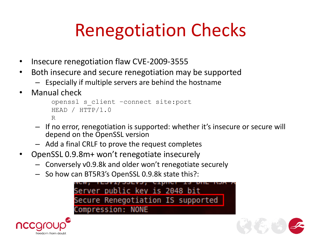# Renegotiation Checks

- Insecure renegotiation flaw CVE-2009-3555
- Both insecure and secure renegotiation may be supported
	- Especially if multiple servers are behind the hostname
- Manual check

```
openssl s_client –connect site:port
HEAD / HTTP/1.0
R
```
- If no error, renegotiation is supported: whether it's insecure or secure will depend on the OpenSSL version
- Add a final CRLF to prove the request completes
- OpenSSL 0.9.8m+ won't renegotiate insecurely
	- Conversely v0.9.8k and older won't renegotiate securely
	- So how can BT5R3's OpenSSL 0.9.8k state this?:





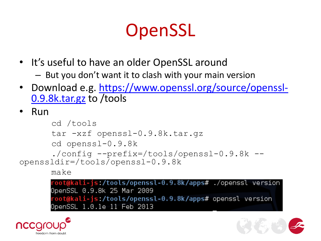## **OpenSSL**

- It's useful to have an older OpenSSL around
	- But you don't want it to clash with your main version
- Download e.g. [https://www.openssl.org/source/openssl-](https://www.openssl.org/source/openssl-0.9.8k.tar.gz)[0.9.8k.tar.gz](https://www.openssl.org/source/openssl-0.9.8k.tar.gz) to /tools
- Run

```
cd /tools
      tar -xzf openssl-0.9.8k.tar.gz
      cd openssl-0.9.8k
      ./config --prefix=/tools/openssl-0.9.8k --
openssldir=/tools/openssl-0.9.8k
      make
```
OpenSSL 0.9.8k 25 Mar 2009 root@kali-js /tools/openssl-0.9.8k/apps# openssl version OpenSSL 1.0.1e 11 Feb 2013



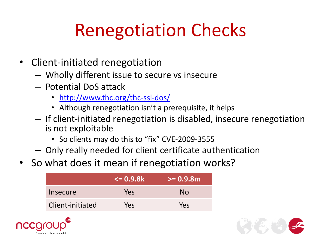# Renegotiation Checks

- Client-initiated renegotiation
	- Wholly different issue to secure vs insecure
	- Potential DoS attack
		- <http://www.thc.org/thc-ssl-dos/>
		- Although renegotiation isn't a prerequisite, it helps
	- If client-initiated renegotiation is disabled, insecure renegotiation is not exploitable
		- So clients may do this to "fix" CVE-2009-3555
	- Only really needed for client certificate authentication
- So what does it mean if renegotiation works?

|                  | <= 0.9.8k <sup>⊦</sup> | $>= 0.9.8$ m |
|------------------|------------------------|--------------|
| Insecure         | Yes                    | No           |
| Client-initiated | Yes                    | Yes          |



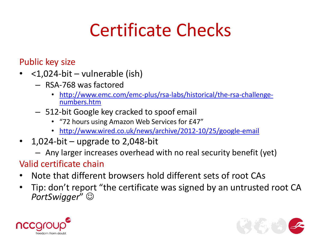Public key size

- <1,024-bit vulnerable (ish)
	- RSA-768 was factored
		- [http://www.emc.com/emc-plus/rsa-labs/historical/the-rsa-challenge](http://www.emc.com/emc-plus/rsa-labs/historical/the-rsa-challenge-numbers.htm)[numbers.htm](http://www.emc.com/emc-plus/rsa-labs/historical/the-rsa-challenge-numbers.htm)
	- 512-bit Google key cracked to spoof email
		- "72 hours using Amazon Web Services for £47"
		- <http://www.wired.co.uk/news/archive/2012-10/25/google-email>
- $\cdot$  1,024-bit upgrade to 2,048-bit
	- Any larger increases overhead with no real security benefit (yet)

#### Valid certificate chain

- Note that different browsers hold different sets of root CAs
- Tip: don't report "the certificate was signed by an untrusted root CA *PortSwigger*"



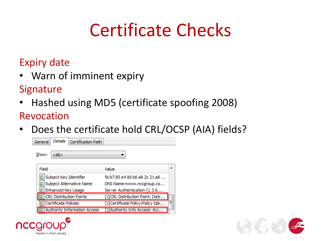#### Expiry date

• Warn of imminent expiry

#### Signature

• Hashed using MD5 (certificate spoofing 2008)

#### Revocation

• Does the certificate hold CRL/OCSP (AIA) fields?

| General                | <b>Details</b>       | Certification Path.                 |                                  |   |
|------------------------|----------------------|-------------------------------------|----------------------------------|---|
| Show:                  | <∆ll>                |                                     |                                  |   |
| Field                  |                      |                                     | Value                            |   |
| Subject Key Identifier |                      |                                     | fa b 785 e 48d b 6a 82c 21a 8    |   |
|                        |                      | Subject Alternative Name            | DNS Name=www.nccgroup.co         |   |
|                        | Enhanced Key Usage   |                                     | Server Authentication (1.3.6     |   |
|                        |                      | <b>CRL Distribution Points</b>      | [1]CRL Distribution Point: Distr |   |
|                        | Certificate Policies |                                     | [1]Certificate Policy:Policy Ide | Ξ |
|                        |                      | <b>Authority Information Access</b> | [1] Authority Info Access: Acc   |   |



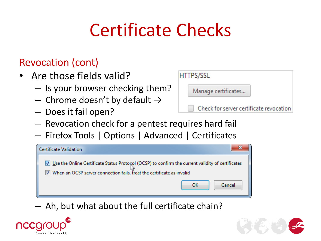#### Revocation (cont)

- Are those fields valid?
	- Is your browser checking them?
	- Chrome doesn't by default  $\rightarrow$
	- Does it fail open?



- Revocation check for a pentest requires hard fail
- Firefox Tools | Options | Advanced | Certificates



– Ah, but what about the full certificate chain?



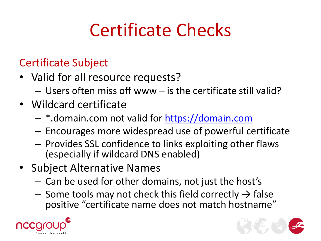#### Certificate Subject

- Valid for all resource requests?
	- Users often miss off www is the certificate still valid?
- Wildcard certificate
	- \*.domain.com not valid for [https://domain.com](https://domain.com/)
	- Encourages more widespread use of powerful certificate
	- Provides SSL confidence to links exploiting other flaws (especially if wildcard DNS enabled)
- Subject Alternative Names
	- Can be used for other domains, not just the host's
	- Some tools may not check this field correctly  $\rightarrow$  false positive "certificate name does not match hostname"



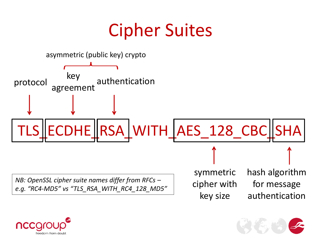#### Cipher Suites





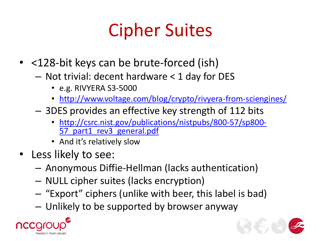# Cipher Suites

- <128-bit keys can be brute-forced (ish)
	- Not trivial: decent hardware < 1 day for DES
		- e.g. RIVYERA S3-5000
		- <http://www.voltage.com/blog/crypto/rivyera-from-sciengines/>
	- 3DES provides an effective key strength of 112 bits
		- [http://csrc.nist.gov/publications/nistpubs/800-57/sp800-](http://csrc.nist.gov/publications/nistpubs/800-57/sp800-57_part1_rev3_general.pdf) 57 part1 rev3 general.pdf
		- And it's relatively slow
- Less likely to see:
	- Anonymous Diffie-Hellman (lacks authentication)
	- NULL cipher suites (lacks encryption)
	- "Export" ciphers (unlike with beer, this label is bad)
	- Unlikely to be supported by browser anyway



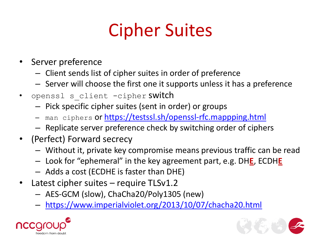# Cipher Suites

- Server preference
	- Client sends list of cipher suites in order of preference
	- Server will choose the first one it supports unless it has a preference
- openssl s client -cipher switch
	- Pick specific cipher suites (sent in order) or groups
	- man ciphers or<https://testssl.sh/openssl-rfc.mappping.html>
	- Replicate server preference check by switching order of ciphers
- (Perfect) Forward secrecy
	- Without it, private key compromise means previous traffic can be read
	- Look for "ephemeral" in the key agreement part, e.g. DH**E**, ECDH**E**
	- Adds a cost (ECDHE is faster than DHE)
- Latest cipher suites require TLSv1.2
	- AES-GCM (slow), ChaCha20/Poly1305 (new)
	- <https://www.imperialviolet.org/2013/10/07/chacha20.html>



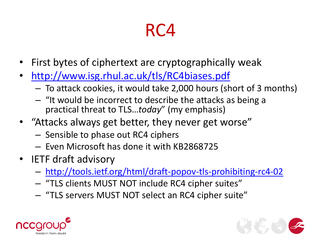#### RC4

- First bytes of ciphertext are cryptographically weak
- <http://www.isg.rhul.ac.uk/tls/RC4biases.pdf>
	- To attack cookies, it would take 2,000 hours (short of 3 months)
	- "It would be incorrect to describe the attacks as being a practical threat to TLS…*today*" (my emphasis)
- "Attacks always get better, they never get worse"
	- Sensible to phase out RC4 ciphers
	- Even Microsoft has done it with KB2868725
- IETF draft advisory
	- [http://tools.ietf.org/html/draft-popov-tls-prohibiting-rc4-02](http://tools.ietf.org/id/draft-popov-tls-prohibiting-rc4-01.txt)
	- "TLS clients MUST NOT include RC4 cipher suites"
	- "TLS servers MUST NOT select an RC4 cipher suite"



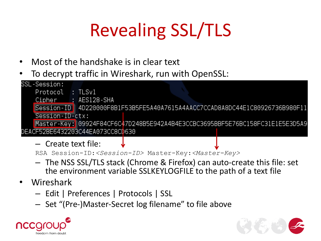# Revealing SSL/TLS

- Most of the handshake is in clear text
- To decrypt traffic in Wireshark, run with OpenSSL:
- SSL-Session: Protocol : TLSv1 : AES128-SHA Cipher Session-ID 4D220000F8B1F53B5FE5A40A7615A4AACC7CCAD8A8DC44E1C80926736B980F11 Session-ID-ctx: Master-Key: 09924F84CF6C47D248B5E942A4B4E3CCBC3695BBF5E76BC158FC31E1E5E3D5A9 DEACF52BE6432203C44EA073CC8CD630
	- Create text file:

```
RSA Session-ID:<Session-ID> Master-Key:<Master-Key>
```
- The NSS SSL/TLS stack (Chrome & Firefox) can auto-create this file: set the environment variable SSLKEYLOGFILE to the path of a text file
- Wireshark
	- Edit | Preferences | Protocols | SSL
	- Set "(Pre-)Master-Secret log filename" to file above



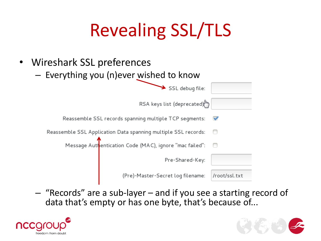# Revealing SSL/TLS

- Wireshark SSL preferences
	- Everything you (n)ever wished to know

| SSL debug file:                                                |               |
|----------------------------------------------------------------|---------------|
| RSA keys list (deprecated)                                     |               |
| Reassemble SSL records spanning multiple TCP segments:         | V             |
| Reassemble SSL Application Data spanning multiple SSL records: |               |
| Message Authentication Code (MAC), ignore "mac failed":        |               |
| Pre-Shared-Key:                                                |               |
| (Pre)-Master-Secret log filename:                              | /root/ssl.txt |

– "Records" are a sub-layer – and if you see a starting record of data that's empty or has one byte, that's because of...



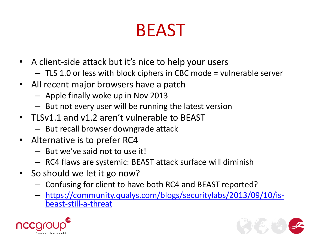#### BEAST

- A client-side attack but it's nice to help your users
	- TLS 1.0 or less with block ciphers in CBC mode = vulnerable server
- All recent major browsers have a patch
	- Apple finally woke up in Nov 2013
	- But not every user will be running the latest version
- TLSv1.1 and v1.2 aren't vulnerable to BEAST
	- But recall browser downgrade attack
- Alternative is to prefer RC4
	- But we've said not to use it!
	- RC4 flaws are systemic: BEAST attack surface will diminish
- So should we let it go now?
	- Confusing for client to have both RC4 and BEAST reported?
	- [https://community.qualys.com/blogs/securitylabs/2013/09/10/is](https://community.qualys.com/blogs/securitylabs/2013/09/10/is-beast-still-a-threat)[beast-still-a-threat](https://community.qualys.com/blogs/securitylabs/2013/09/10/is-beast-still-a-threat)



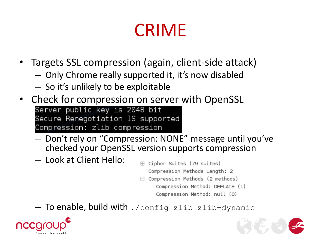#### CRIME

- Targets SSL compression (again, client-side attack)
	- Only Chrome really supported it, it's now disabled
	- So it's unlikely to be exploitable
- Check for compression on server with OpenSSL Server public key is 2048 bit Secure Renegotiation IS supported Compression: zlib compression
	- Don't rely on "Compression: NONE" message until you've checked your OpenSSL version supports compression
	- Look at Client Hello:
- E Cipher Suites (79 suites) Compression Methods Length: 2
- $\Box$  Compression Methods (2 methods)

Compression Method: DEFLATE (1) Compression Method: null (0)

 $-$  To enable, build with ./config zlib zlib-dynamic



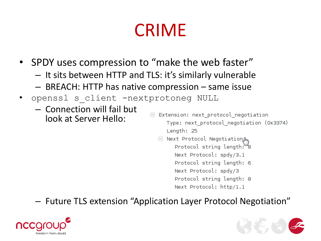## CRIME

- SPDY uses compression to "make the web faster"
	- It sits between HTTP and TLS: it's similarly vulnerable
	- BREACH: HTTP has native compression same issue
- openssl s client -nextprotoneg NULL
	- Connection will fail but look at Server Hello:
- $\Box$  Extension: next protocol negotiation Type: next protocol negotiation (0x3374) Length: 25
	- $\quad \ \, \boxminus\,$  Next Protocol Negotiation  $\beta_{\text{m}}$ Protocol string length: 8 Next Protocol: spdy/3.1 Protocol string length: 6 Next Protocol: spdy/3 Protocol string length: 8 Next Protocol: http/1.1

#### – Future TLS extension "Application Layer Protocol Negotiation"



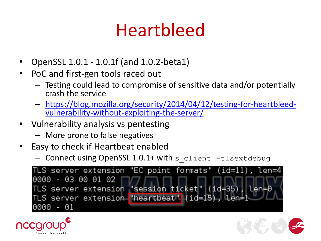#### Heartbleed

- OpenSSL 1.0.1 1.0.1f (and 1.0.2-beta1)
- PoC and first-gen tools raced out
	- Testing could lead to compromise of sensitive data and/or potentially crash the service
	- [https://blog.mozilla.org/security/2014/04/12/testing-for-heartbleed](https://blog.mozilla.org/security/2014/04/12/testing-for-heartbleed-vulnerability-without-exploiting-the-server/)[vulnerability-without-exploiting-the-server/](https://blog.mozilla.org/security/2014/04/12/testing-for-heartbleed-vulnerability-without-exploiting-the-server/)
- Vulnerability analysis vs pentesting
	- More prone to false negatives
- Easy to check if Heartbeat enabled
	- Connect using OpenSSL 1.0.1+ with s\_client -tlsextdebug





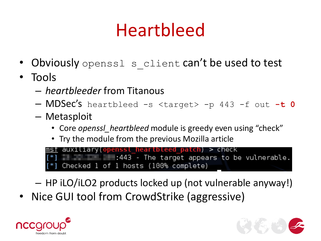## Heartbleed

- Obviously openssl s client can't be used to test
- Tools
	- *heartbleeder* from Titanous
	- MDSec's heartbleed -s <target> -p 443 -f out **-t 0**
	- Metasploit
		- Core *openssl\_heartbleed* module is greedy even using "check"
		- Try the module from the previous Mozilla article

auxiliary(openssl heartbleed patch) > check  $\blacksquare$   $\blacksquare$   $\blacksquare$   $\blacksquare$  :443 - The target appears to be vulnerable. [\*] Checked 1 of 1 hosts (100% complete)

– HP iLO/iLO2 products locked up (not vulnerable anyway!)

• Nice GUI tool from CrowdStrike (aggressive)



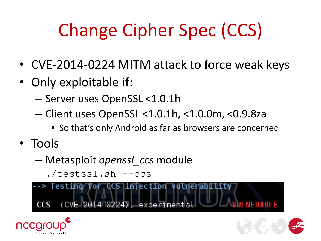# Change Cipher Spec (CCS)

- CVE-2014-0224 MITM attack to force weak keys
- Only exploitable if:
	- Server uses OpenSSL <1.0.1h
	- Client uses OpenSSL <1.0.1h, <1.0.0m, <0.9.8za
		- So that's only Android as far as browsers are concerned
- Tools
	- Metasploit *openssl\_ccs* module
	- ./testssl.sh --ccs

--> Testing for CCS injection vulnerability (CVE-2014-0224), experimental NERABI E –



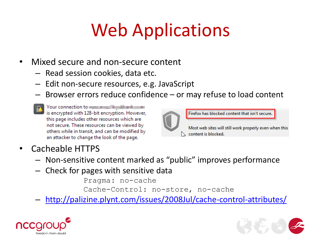## Web Applications

- Mixed secure and non-secure content
	- Read session cookies, data etc.
	- Edit non-secure resources, e.g. JavaScript
	- Browser errors reduce confidence or may refuse to load content
	- Your connection to was a series with the way is encrypted with 128-bit encryption. However, this page includes other resources which are not secure. These resources can be viewed by others while in transit, and can be modified by an attacker to change the look of the page.



Firefox has blocked content that isn't secure.

Most web sites will still work properly even when this  $\searrow$  content is blocked.

- Cacheable HTTPS
	- Non-sensitive content marked as "public" improves performance
	- Check for pages with sensitive data

Pragma: no-cache

Cache-Control: no-store, no-cache

– <http://palizine.plynt.com/issues/2008Jul/cache-control-attributes/>



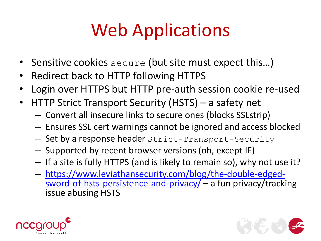## Web Applications

- Sensitive cookies secure (but site must expect this...)
- Redirect back to HTTP following HTTPS
- Login over HTTPS but HTTP pre-auth session cookie re-used
- HTTP Strict Transport Security (HSTS) a safety net
	- Convert all insecure links to secure ones (blocks SSLstrip)
	- Ensures SSL cert warnings cannot be ignored and access blocked
	- Set by a response header Strict-Transport-Security
	- Supported by recent browser versions (oh, except IE)
	- If a site is fully HTTPS (and is likely to remain so), why not use it?
	- [https://www.leviathansecurity.com/blog/the-double-edged](https://www.leviathansecurity.com/blog/the-double-edged-sword-of-hsts-persistence-and-privacy/)[sword-of-hsts-persistence-and-privacy/](https://www.leviathansecurity.com/blog/the-double-edged-sword-of-hsts-persistence-and-privacy/) – a fun privacy/tracking issue abusing HSTS